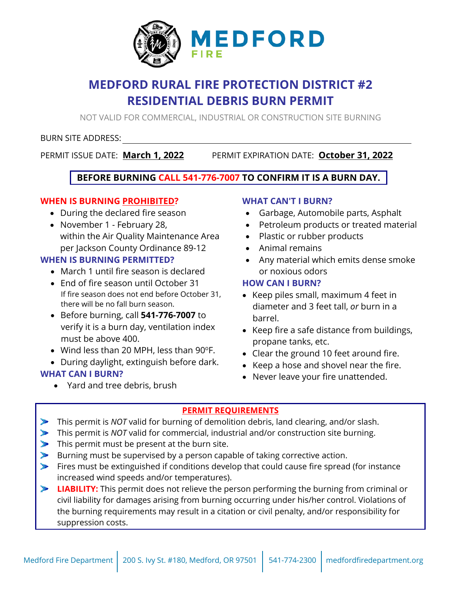

# **MEDFORD RURAL FIRE PROTECTION DISTRICT #2 RESIDENTIAL DEBRIS BURN PERMIT**

NOT VALID FOR COMMERCIAL, INDUSTRIAL OR CONSTRUCTION SITE BURNING

## BURN SITE ADDRESS:

PERMIT ISSUE DATE: **March 1, 2022** PERMIT EXPIRATION DATE: **October 31, 2022** 

# **BEFORE BURNING CALL 541-776-7007 TO CONFIRM IT IS A BURN DAY.**

# **WHEN IS BURNING PROHIBITED?**

- During the declared fire season
- November 1 February 28, within the Air Quality Maintenance Area per Jackson County Ordinance 89-12

# **WHEN IS BURNING PERMITTED?**

- March 1 until fire season is declared
- End of fire season until October 31 If fire season does not end before October 31, there will be no fall burn season.
- Before burning, call **541-776-7007** to verify it is a burn day, ventilation index must be above 400.
- $\bullet$  Wind less than 20 MPH, less than 90°F.
- During daylight, extinguish before dark.

# **WHAT CAN I BURN?**

• Yard and tree debris, brush

## **WHAT CAN'T I BURN?**

- Garbage, Automobile parts, Asphalt
- Petroleum products or treated material
- Plastic or rubber products
- Animal remains
- Any material which emits dense smoke or noxious odors

### **HOW CAN I BURN?**

- Keep piles small, maximum 4 feet in diameter and 3 feet tall, *or* burn in a barrel.
- Keep fire a safe distance from buildings, propane tanks, etc.
- Clear the ground 10 feet around fire.
- Keep a hose and shovel near the fire.
- Never leave your fire unattended.

# **PERMIT REQUIREMENTS**

- This permit is *NOT* valid for burning of demolition debris, land clearing, and/or slash.
- This permit is *NOT* valid for commercial, industrial and/or construction site burning.
- This permit must be present at the burn site.
- Burning must be supervised by a person capable of taking corrective action.
- Fires must be extinguished if conditions develop that could cause fire spread (for instance increased wind speeds and/or temperatures).
- **LIABILITY:** This permit does not relieve the person performing the burning from criminal or civil liability for damages arising from burning occurring under his/her control. Violations of the burning requirements may result in a citation or civil penalty, and/or responsibility for suppression costs.